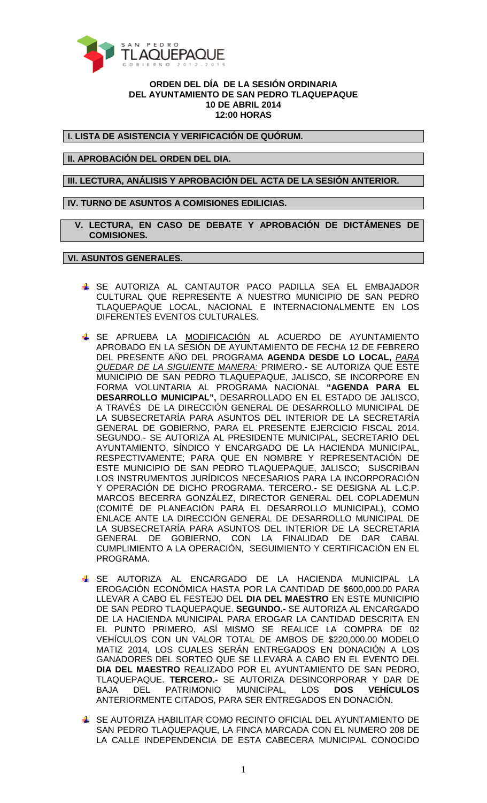

## **ORDEN DEL DÍA DE LA SESIÓN ORDINARIA DEL AYUNTAMIENTO DE SAN PEDRO TLAQUEPAQUE 10 DE ABRIL 2014 12:00 HORAS**

**I. LISTA DE ASISTENCIA Y VERIFICACIÓN DE QUÓRUM.** 

**II. APROBACIÓN DEL ORDEN DEL DIA.** 

**III. LECTURA, ANÁLISIS Y APROBACIÓN DEL ACTA DE LA SESIÓN ANTERIOR.** 

**IV. TURNO DE ASUNTOS A COMISIONES EDILICIAS.** 

 **V. LECTURA, EN CASO DE DEBATE Y APROBACIÓN DE DICTÁMENES DE COMISIONES.** 

## **VI. ASUNTOS GENERALES.**

- SE AUTORIZA AL CANTAUTOR PACO PADILLA SEA EL EMBAJADOR CULTURAL QUE REPRESENTE A NUESTRO MUNICIPIO DE SAN PEDRO TLAQUEPAQUE LOCAL, NACIONAL E INTERNACIONALMENTE EN LOS DIFERENTES EVENTOS CULTURALES.
- SE APRUEBA LA MODIFICACIÓN AL ACUERDO DE AYUNTAMIENTO APROBADO EN LA SESIÓN DE AYUNTAMIENTO DE FECHA 12 DE FEBRERO DEL PRESENTE AÑO DEL PROGRAMA **AGENDA DESDE LO LOCAL,** PARA QUEDAR DE LA SIGUIENTE MANERA: PRIMERO.- SE AUTORIZA QUE ESTE MUNICIPIO DE SAN PEDRO TLAQUEPAQUE, JALISCO, SE INCORPORE EN FORMA VOLUNTARIA AL PROGRAMA NACIONAL **"AGENDA PARA EL DESARROLLO MUNICIPAL",** DESARROLLADO EN EL ESTADO DE JALISCO, A TRAVÉS DE LA DIRECCIÓN GENERAL DE DESARROLLO MUNICIPAL DE LA SUBSECRETARÍA PARA ASUNTOS DEL INTERIOR DE LA SECRETARÍA GENERAL DE GOBIERNO, PARA EL PRESENTE EJERCICIO FISCAL 2014. SEGUNDO.- SE AUTORIZA AL PRESIDENTE MUNICIPAL, SECRETARIO DEL AYUNTAMIENTO, SÍNDICO Y ENCARGADO DE LA HACIENDA MUNICIPAL, RESPECTIVAMENTE; PARA QUE EN NOMBRE Y REPRESENTACIÓN DE ESTE MUNICIPIO DE SAN PEDRO TLAQUEPAQUE, JALISCO; SUSCRIBAN LOS INSTRUMENTOS JURÍDICOS NECESARIOS PARA LA INCORPORACIÓN Y OPERACIÓN DE DICHO PROGRAMA. TERCERO.- SE DESIGNA AL L.C.P. MARCOS BECERRA GONZÁLEZ, DIRECTOR GENERAL DEL COPLADEMUN (COMITÉ DE PLANEACIÓN PARA EL DESARROLLO MUNICIPAL), COMO ENLACE ANTE LA DIRECCIÓN GENERAL DE DESARROLLO MUNICIPAL DE LA SUBSECRETARÍA PARA ASUNTOS DEL INTERIOR DE LA SECRETARIA GENERAL DE GOBIERNO, CON LA FINALIDAD DE DAR CABAL CUMPLIMIENTO A LA OPERACIÓN, SEGUIMIENTO Y CERTIFICACIÓN EN EL PROGRAMA.
- SE AUTORIZA AL ENCARGADO DE LA HACIENDA MUNICIPAL LA EROGACIÓN ECONÓMICA HASTA POR LA CANTIDAD DE \$600,000.00 PARA LLEVAR A CABO EL FESTEJO DEL **DIA DEL MAESTRO** EN ESTE MUNICIPIO DE SAN PEDRO TLAQUEPAQUE. **SEGUNDO.-** SE AUTORIZA AL ENCARGADO DE LA HACIENDA MUNICIPAL PARA EROGAR LA CANTIDAD DESCRITA EN EL PUNTO PRIMERO, ASÍ MISMO SE REALICE LA COMPRA DE 02 VEHÍCULOS CON UN VALOR TOTAL DE AMBOS DE \$220,000.00 MODELO MATIZ 2014, LOS CUALES SERÁN ENTREGADOS EN DONACIÓN A LOS GANADORES DEL SORTEO QUE SE LLEVARÁ A CABO EN EL EVENTO DEL **DIA DEL MAESTRO** REALIZADO POR EL AYUNTAMIENTO DE SAN PEDRO, TLAQUEPAQUE. **TERCERO.-** SE AUTORIZA DESINCORPORAR Y DAR DE BAJA DEL PATRIMONIO MUNICIPAL, LOS **DOS VEHÍCULOS**  ANTERIORMENTE CITADOS, PARA SER ENTREGADOS EN DONACIÓN.
- SE AUTORIZA HABILITAR COMO RECINTO OFICIAL DEL AYUNTAMIENTO DE SAN PEDRO TLAQUEPAQUE, LA FINCA MARCADA CON EL NUMERO 208 DE LA CALLE INDEPENDENCIA DE ESTA CABECERA MUNICIPAL CONOCIDO